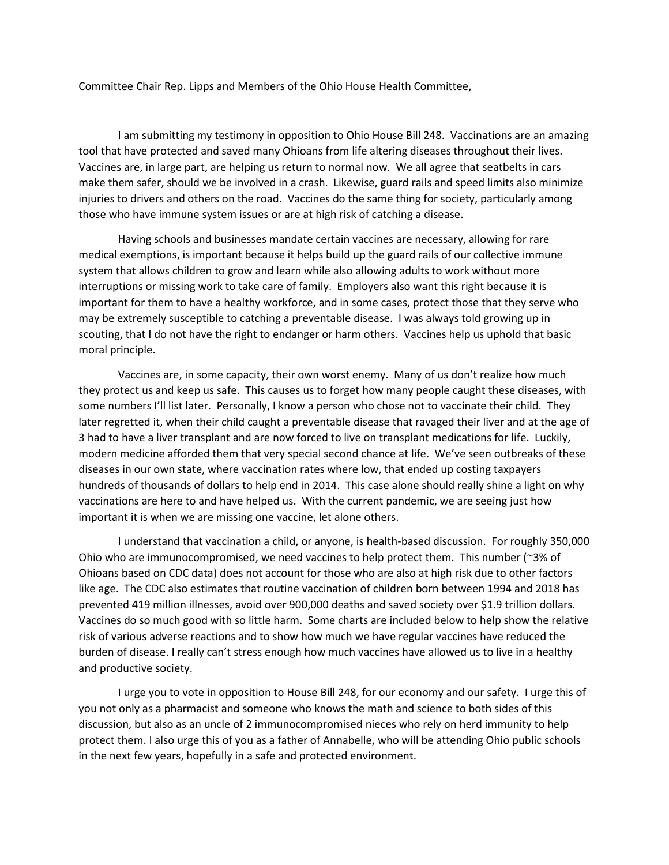Committee Chair Rep. Lipps and Members of the Ohio House Health Committee,

I am submitting my testimony in opposition to Ohio House Bill 248. Vaccinations are an amazing tool that have protected and saved many Ohioans from life altering diseases throughout their lives. Vaccines are, in large part, are helping us return to normal now. We all agree that seatbelts in cars make them safer, should we be involved in a crash. Likewise, guard rails and speed limits also minimize injuries to drivers and others on the road. Vaccines do the same thing for society, particularly among those who have immune system issues or are at high risk of catching a disease.

Having schools and businesses mandate certain vaccines are necessary, allowing for rare medical exemptions, is important because it helps build up the guard rails of our collective immune system that allows children to grow and learn while also allowing adults to work without more interruptions or missing work to take care of family. Employers also want this right because it is important for them to have a healthy workforce, and in some cases, protect those that they serve who may be extremely susceptible to catching a preventable disease. I was always told growing up in scouting, that I do not have the right to endanger or harm others. Vaccines help us uphold that basic moral principle.

Vaccines are, in some capacity, their own worst enemy. Many of us don't realize how much they protect us and keep us safe. This causes us to forget how many people caught these diseases, with some numbers I'll list later. Personally, I know a person who chose not to vaccinate their child. They later regretted it, when their child caught a preventable disease that ravaged their liver and at the age of 3 had to have a liver transplant and are now forced to live on transplant medications for life. Luckily, modern medicine afforded them that very special second chance at life. We've seen outbreaks of these diseases in our own state, where vaccination rates where low, that ended up costing taxpayers hundreds of thousands of dollars to help end in 2014. This case alone should really shine a light on why vaccinations are here to and have helped us. With the current pandemic, we are seeing just how important it is when we are missing one vaccine, let alone others.

I understand that vaccination a child, or anyone, is health-based discussion. For roughly 350,000 Ohio who are immunocompromised, we need vaccines to help protect them. This number (~3% of Ohioans based on CDC data) does not account for those who are also at high risk due to other factors like age. The CDC also estimates that routine vaccination of children born between 1994 and 2018 has prevented 419 million illnesses, avoid over 900,000 deaths and saved society over \$1.9 trillion dollars. Vaccines do so much good with so little harm. Some charts are included below to help show the relative risk of various adverse reactions and to show how much we have regular vaccines have reduced the burden of disease. I really can't stress enough how much vaccines have allowed us to live in a healthy and productive society.

I urge you to vote in opposition to House Bill 248, for our economy and our safety. I urge this of you not only as a pharmacist and someone who knows the math and science to both sides of this discussion, but also as an uncle of 2 immunocompromised nieces who rely on herd immunity to help protect them. I also urge this of you as a father of Annabelle, who will be attending Ohio public schools in the next few years, hopefully in a safe and protected environment.